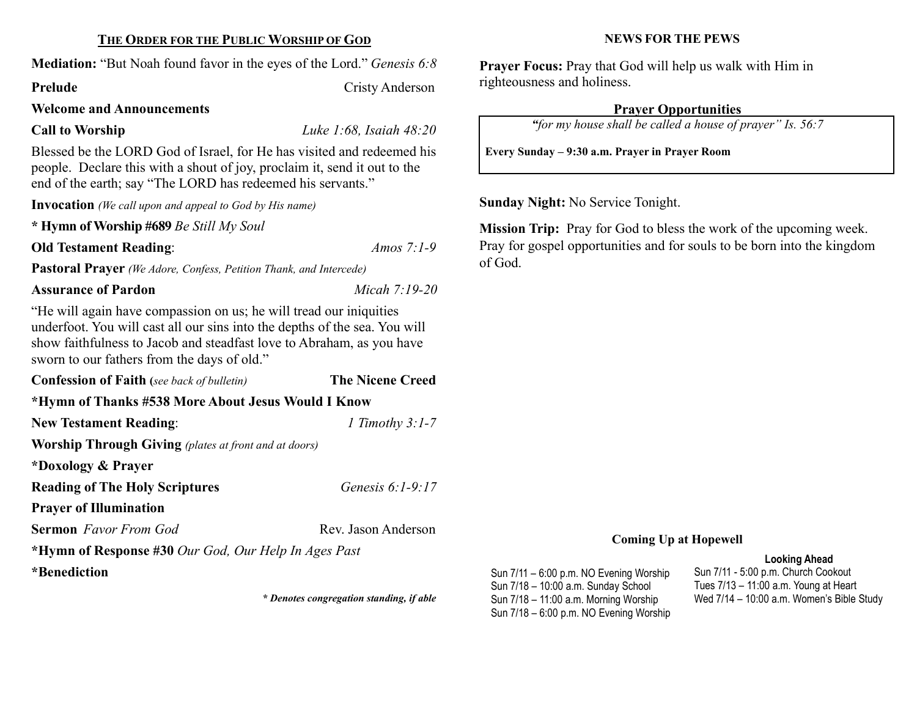### THE ORDER FOR THE PUBLIC WORSHIP OF GOD

Mediation: "But Noah found favor in the eyes of the Lord." *Genesis 6:8* 

Prelude Cristy Anderson

#### Welcome and Announcements

Call to Worship Luke 1:68, Isaiah 48:20

Blessed be the LORD God of Israel, for He has visited and redeemed his people. Declare this with a shout of joy, proclaim it, send it out to the end of the earth; say "The LORD has redeemed his servants."

Invocation (We call upon and appeal to God by His name)

\* Hymn of Worship #689 Be Still My Soul

Old Testament Reading: Amos 7:1-9

Pastoral Prayer (We Adore, Confess, Petition Thank, and Intercede)

Assurance of Pardon Micah 7:19-20

"He will again have compassion on us; he will tread our iniquities underfoot. You will cast all our sins into the depths of the sea. You will show faithfulness to Jacob and steadfast love to Abraham, as you have sworn to our fathers from the days of old."

| <b>Confession of Faith</b> (see back of bulletin)            | <b>The Nicene Creed</b> |
|--------------------------------------------------------------|-------------------------|
| *Hymn of Thanks #538 More About Jesus Would I Know           |                         |
| <b>New Testament Reading:</b>                                | 1 Timothy $3:1-7$       |
| <b>Worship Through Giving</b> (plates at front and at doors) |                         |
| *Doxology & Prayer                                           |                         |
| <b>Reading of The Holy Scriptures</b>                        | Genesis 6:1-9:17        |
| <b>Prayer of Illumination</b>                                |                         |
| <b>Sermon</b> Favor From God                                 | Rev. Jason Anderson     |
| *Hymn of Response #30 Our God, Our Help In Ages Past         |                         |
| *Benediction                                                 |                         |

\* Denotes congregation standing, if able

#### NEWS FOR THE PEWS

Prayer Focus: Pray that God will help us walk with Him in righteousness and holiness.

# Prayer Opportunities

"for my house shall be called a house of prayer" Is. 56:7

Every Sunday – 9:30 a.m. Prayer in Prayer Room

Sunday Night: No Service Tonight.

Mission Trip: Pray for God to bless the work of the upcoming week. Pray for gospel opportunities and for souls to be born into the kingdom of God.

## Coming Up at Hopewell

### Looking Ahead

Sun 7/11 – 6:00 p.m. NO Evening Worship Sun 7/18 – 10:00 a.m. Sunday School Sun 7/18 – 11:00 a.m. Morning Worship Sun 7/18 – 6:00 p.m. NO Evening Worship

Sun 7/11 - 5:00 p.m. Church Cookout Tues 7/13 – 11:00 a.m. Young at Heart Wed 7/14 – 10:00 a.m. Women's Bible Study